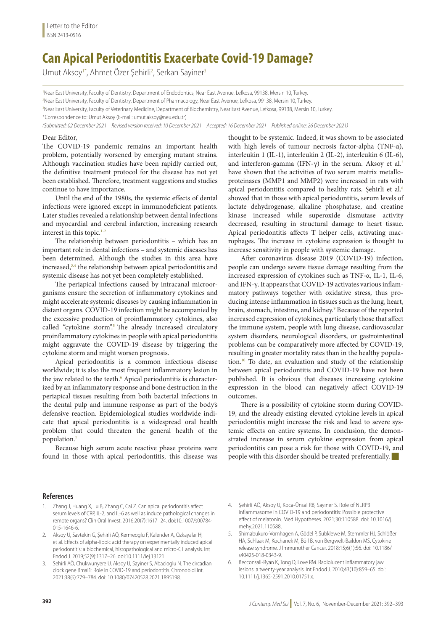## **Can Apical Periodontitis Exacerbate Covid-19 Damage?**

Umut Aksoy<sup>1\*</sup>, Ahmet Özer Şehirli<sup>2</sup>, Serkan Sayiner<sup>3</sup>

<sup>1</sup>Near East University, Faculty of Dentistry, Department of Endodontics, Near East Avenue, Lefkosa, 99138, Mersin 10, Turkey. 2 Near East University, Faculty of Dentistry, Department of Pharmacology, Near East Avenue, Lefkosa, 99138, Mersin 10, Turkey. 3 Near East University, Faculty of Veterinary Medicine, Department of Biochemistry, Near East Avenue, Lefkosa, 99138, Mersin 10, Turkey. \*Correspondence to: Umut Aksoy (E-mail: [umut.aksoy@neu.edu.tr](mailto:umut.aksoy@neu.edu.tr))

*(Submitted: 02 December 2021 – Revised version received: 10 December 2021 – Accepted: 16 December 2021 – Published online: 26 December 2021)*

## Dear Editor,

The COVID-19 pandemic remains an important health problem, potentially worsened by emerging mutant strains. Although vaccination studies have been rapidly carried out, the definitive treatment protocol for the disease has not yet been established. Therefore, treatment suggestions and studies continue to have importance.

Until the end of the 1980s, the systemic effects of dental infections were ignored except in immunodeficient patients. Later studies revealed a relationship between dental infections and myocardial and cerebral infarction, increasing research interest in this topic. $1-2$ 

The relationship between periodontitis – which has an important role in dental infections – and systemic diseases has been determined. Although the studies in this area have increased,3,4 the relationship between apical periodontitis and systemic disease has not yet been completely established.

The periapical infections caused by intracanal microorganisms ensure the secretion of inflammatory cytokines and might accelerate systemic diseases by causing inflammation in distant organs. COVID-19 infection might be accompanied by the excessive production of proinflammatory cytokines, also called "cytokine storm".<sup>5</sup> The already increased circulatory proinflammatory cytokines in people with apical periodontitis might aggravate the COVID-19 disease by triggering the cytokine storm and might worsen prognosis.

Apical periodontitis is a common infectious disease worldwide; it is also the most frequent inflammatory lesion in the jaw related to the teeth.<sup>6</sup> Apical periodontitis is characterized by an inflammatory response and bone destruction in the periapical tissues resulting from both bacterial infections in the dental pulp and immune response as part of the body's defensive reaction. Epidemiological studies worldwide indicate that apical periodontitis is a widespread oral health problem that could threaten the general health of the population.<sup>7</sup>

Because high serum acute reactive phase proteins were found in those with apical periodontitis, this disease was thought to be systemic. Indeed, it was shown to be associated with high levels of tumour necrosis factor-alpha (TNF-α), interleukin 1 (IL-1), interleukin 2 (IL-2), interleukin 6 (IL-6), and interferon-gamma (IFN-γ) in the serum. Aksoy et al*.* 2 have shown that the activities of two serum matrix metalloproteinases (MMP1 and MMP2) were increased in rats with apical periodontitis compared to healthy rats. Şehirli et al*.* 8 showed that in those with apical periodontitis, serum levels of lactate dehydrogenase, alkaline phosphatase, and creatine kinase increased while superoxide dismutase activity decreased, resulting in structural damage to heart tissue. Apical periodontitis affects T helper cells, activating macrophages. The increase in cytokine expression is thought to increase sensitivity in people with systemic damage.

After coronavirus disease 2019 (COVID-19) infection, people can undergo severe tissue damage resulting from the increased expression of cytokines such as TNF-α, IL-1, IL-6, and IFN-γ. It appears that COVID-19 activates various inflammatory pathways together with oxidative stress, thus producing intense inflammation in tissues such as the lung, heart, brain, stomach, intestine, and kidney.<sup>9</sup> Because of the reported increased expression of cytokines, particularly those that affect the immune system, people with lung disease, cardiovascular system disorders, neurological disorders, or gastrointestinal problems can be comparatively more affected by COVID-19, resulting in greater mortality rates than in the healthy population.<sup>10</sup> To date, an evaluation and study of the relationship between apical periodontitis and COVID-19 have not been published. It is obvious that diseases increasing cytokine expression in the blood can negatively affect COVID-19 outcomes.

There is a possibility of cytokine storm during COVID-19, and the already existing elevated cytokine levels in apical periodontitis might increase the risk and lead to severe systemic effects on entire systems. In conclusion, the demonstrated increase in serum cytokine expression from apical periodontitis can pose a risk for those with COVID-19, and people with this disorder should be treated preferentially.

## **References**

- 1. Zhang J, Huang X, Lu B, Zhang C, Cai Z. Can apical periodontitis affect serum levels of CRP, IL-2, and IL-6 as well as induce pathological changes in remote organs? Clin Oral Invest. 2016;20(7):1617–24. doi:10.1007/s00784- 015-1646-6.
- 2. Aksoy U, Savtekin G, Şehirli AÖ, Kermeoglu F, Kalender A, Ozkayalar H, et al. Effects of alpha-lipoic acid therapy on experimentally induced apical periodontitis: a biochemical, histopathological and micro-CT analysis. Int Endod J. 2019;52(9):1317–26. doi:10.1111/iej.13121
- 3. Sehirli AÖ, Chukwunyere U, Aksoy U, Sayiner S, Abacioglu N. The circadian clock gene Bmal1: Role in COVID-19 and periodontitis. Chronobiol Int. 2021;38(6):779–784. doi: 10.1080/07420528.2021.1895198.
- 4. Şehirli AÖ, Aksoy U, Koca-Ünsal RB, Sayıner S. Role of NLRP3 inflammasome in COVID-19 and periodontitis: Possible protective effect of melatonin. Med Hypotheses. 2021;30:110588. doi: 10.1016/j. mehy.2021.110588.
- 5. Shimabukuro-Vornhagen A, Gödel P, Subklewe M, Stemmler HJ, Schlößer HA, Schlaak M, Kochanek M, Böll B, von Bergwelt-Baildon MS. Cytokine release syndrome. J Immunother Cancer. 2018;15;6(1):56. doi: 10.1186/ s40425-018-0343-9.
- 6. Becconsall-Ryan K, Tong D, Love RM. Radiolucent inflammatory jaw lesions: a twenty-year analysis. Int Endod J. 2010;43(10):859–65. doi: 10.1111/j.1365-2591.2010.01751.x.